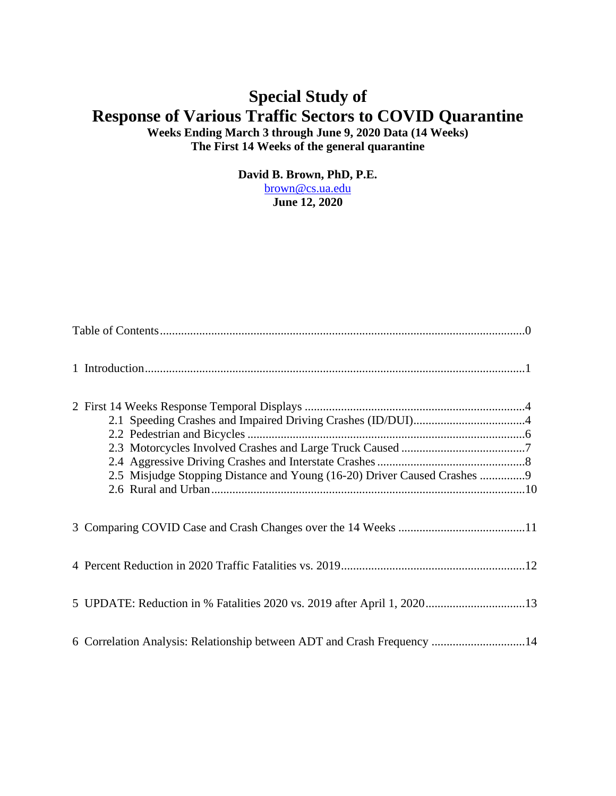# **Special Study of Response of Various Traffic Sectors to COVID Quarantine Weeks Ending March 3 through June 9, 2020 Data (14 Weeks) The First 14 Weeks of the general quarantine**

**David B. Brown, PhD, P.E.**

[brown@cs.ua.edu](mailto:brown@cs.ua.edu) **June 12, 2020**

<span id="page-0-0"></span>

|  | 2.5 Misjudge Stopping Distance and Young (16-20) Driver Caused Crashes 9 |  |  |  |
|--|--------------------------------------------------------------------------|--|--|--|
|  |                                                                          |  |  |  |
|  |                                                                          |  |  |  |
|  | 5 UPDATE: Reduction in % Fatalities 2020 vs. 2019 after April 1, 202013  |  |  |  |
|  | 6 Correlation Analysis: Relationship between ADT and Crash Frequency 14  |  |  |  |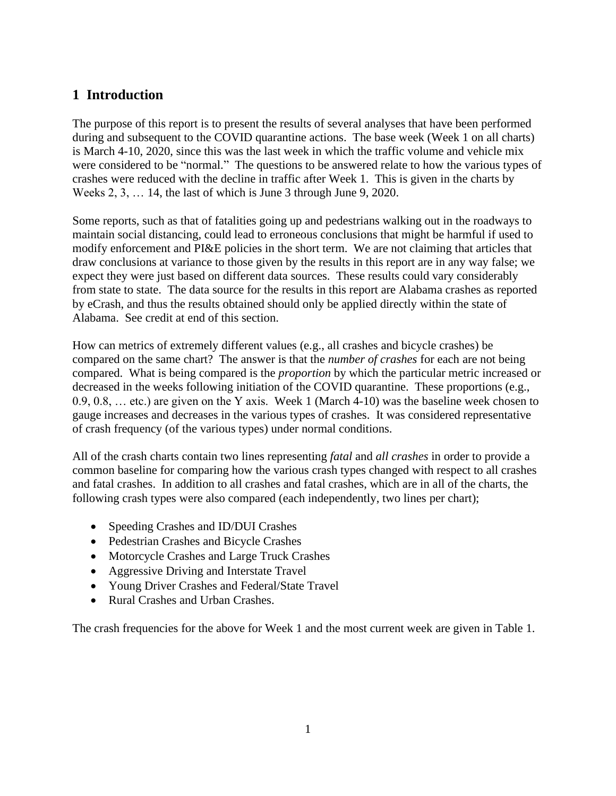# <span id="page-1-0"></span>**1 Introduction**

The purpose of this report is to present the results of several analyses that have been performed during and subsequent to the COVID quarantine actions. The base week (Week 1 on all charts) is March 4-10, 2020, since this was the last week in which the traffic volume and vehicle mix were considered to be "normal." The questions to be answered relate to how the various types of crashes were reduced with the decline in traffic after Week 1. This is given in the charts by Weeks 2, 3, … 14, the last of which is June 3 through June 9, 2020.

Some reports, such as that of fatalities going up and pedestrians walking out in the roadways to maintain social distancing, could lead to erroneous conclusions that might be harmful if used to modify enforcement and PI&E policies in the short term. We are not claiming that articles that draw conclusions at variance to those given by the results in this report are in any way false; we expect they were just based on different data sources. These results could vary considerably from state to state. The data source for the results in this report are Alabama crashes as reported by eCrash, and thus the results obtained should only be applied directly within the state of Alabama. See credit at end of this section.

How can metrics of extremely different values (e.g., all crashes and bicycle crashes) be compared on the same chart? The answer is that the *number of crashes* for each are not being compared. What is being compared is the *proportion* by which the particular metric increased or decreased in the weeks following initiation of the COVID quarantine. These proportions (e.g., 0.9, 0.8, … etc.) are given on the Y axis. Week 1 (March 4-10) was the baseline week chosen to gauge increases and decreases in the various types of crashes. It was considered representative of crash frequency (of the various types) under normal conditions.

All of the crash charts contain two lines representing *fatal* and *all crashes* in order to provide a common baseline for comparing how the various crash types changed with respect to all crashes and fatal crashes. In addition to all crashes and fatal crashes, which are in all of the charts, the following crash types were also compared (each independently, two lines per chart);

- Speeding Crashes and ID/DUI Crashes
- Pedestrian Crashes and Bicycle Crashes
- Motorcycle Crashes and Large Truck Crashes
- Aggressive Driving and Interstate Travel
- Young Driver Crashes and Federal/State Travel
- Rural Crashes and Urban Crashes.

The crash frequencies for the above for Week 1 and the most current week are given in Table 1.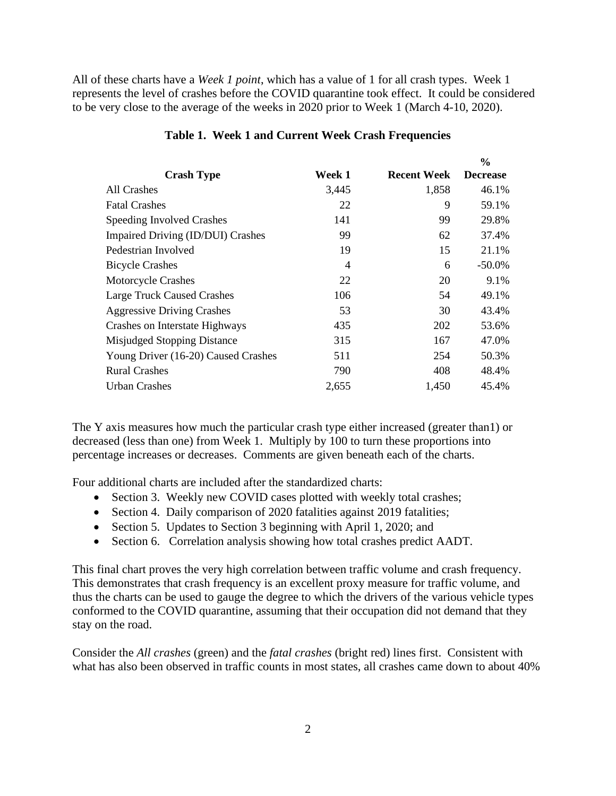All of these charts have a *Week 1 point*, which has a value of 1 for all crash types. Week 1 represents the level of crashes before the COVID quarantine took effect. It could be considered to be very close to the average of the weeks in 2020 prior to Week 1 (March 4-10, 2020).

|                                     |                |                    | $\frac{6}{6}$   |
|-------------------------------------|----------------|--------------------|-----------------|
| <b>Crash Type</b>                   | Week 1         | <b>Recent Week</b> | <b>Decrease</b> |
| All Crashes                         | 3,445          | 1,858              | 46.1%           |
| <b>Fatal Crashes</b>                | 22             | 9                  | 59.1%           |
| Speeding Involved Crashes           | 141            | 99                 | 29.8%           |
| Impaired Driving (ID/DUI) Crashes   | 99             | 62                 | 37.4%           |
| Pedestrian Involved                 | 19             | 15                 | 21.1%           |
| <b>Bicycle Crashes</b>              | $\overline{4}$ | 6                  | $-50.0\%$       |
| <b>Motorcycle Crashes</b>           | 22             | 20                 | 9.1%            |
| <b>Large Truck Caused Crashes</b>   | 106            | 54                 | 49.1%           |
| <b>Aggressive Driving Crashes</b>   | 53             | 30                 | 43.4%           |
| Crashes on Interstate Highways      | 435            | 202                | 53.6%           |
| Misjudged Stopping Distance         | 315            | 167                | 47.0%           |
| Young Driver (16-20) Caused Crashes | 511            | 254                | 50.3%           |
| <b>Rural Crashes</b>                | 790            | 408                | 48.4%           |
| <b>Urban Crashes</b>                | 2,655          | 1,450              | 45.4%           |

#### **Table 1. Week 1 and Current Week Crash Frequencies**

The Y axis measures how much the particular crash type either increased (greater than1) or decreased (less than one) from Week 1. Multiply by 100 to turn these proportions into percentage increases or decreases. Comments are given beneath each of the charts.

Four additional charts are included after the standardized charts:

- Section 3. Weekly new COVID cases plotted with weekly total crashes;
- Section 4. Daily comparison of 2020 fatalities against 2019 fatalities;
- Section 5. Updates to Section 3 beginning with April 1, 2020; and
- Section 6. Correlation analysis showing how total crashes predict AADT.

This final chart proves the very high correlation between traffic volume and crash frequency. This demonstrates that crash frequency is an excellent proxy measure for traffic volume, and thus the charts can be used to gauge the degree to which the drivers of the various vehicle types conformed to the COVID quarantine, assuming that their occupation did not demand that they stay on the road.

Consider the *All crashes* (green) and the *fatal crashes* (bright red) lines first. Consistent with what has also been observed in traffic counts in most states, all crashes came down to about 40%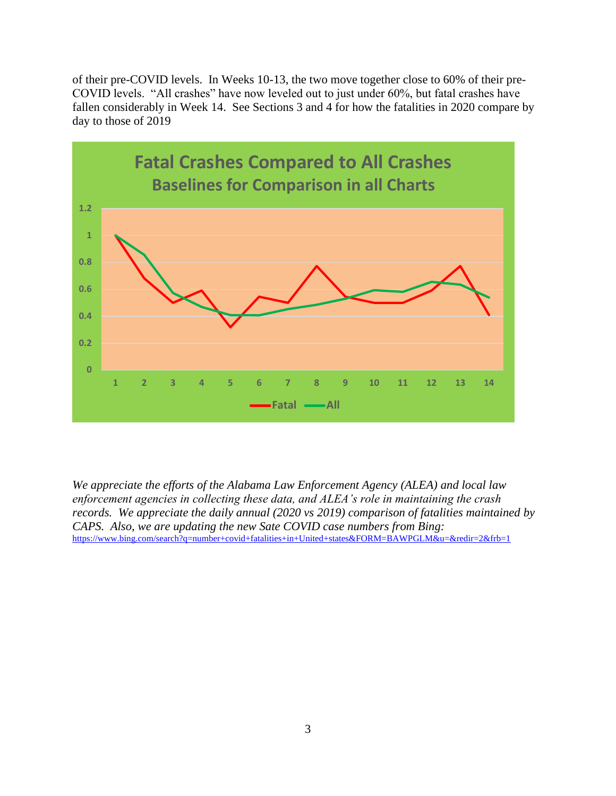of their pre-COVID levels. In Weeks 10-13, the two move together close to 60% of their pre-COVID levels. "All crashes" have now leveled out to just under 60%, but fatal crashes have fallen considerably in Week 14. See Sections 3 and 4 for how the fatalities in 2020 compare by day to those of 2019



*We appreciate the efforts of the Alabama Law Enforcement Agency (ALEA) and local law enforcement agencies in collecting these data, and ALEA's role in maintaining the crash records. We appreciate the daily annual (2020 vs 2019) comparison of fatalities maintained by CAPS. Also, we are updating the new Sate COVID case numbers from Bing:* <https://www.bing.com/search?q=number+covid+fatalities+in+United+states&FORM=BAWPGLM&u=&redir=2&frb=1>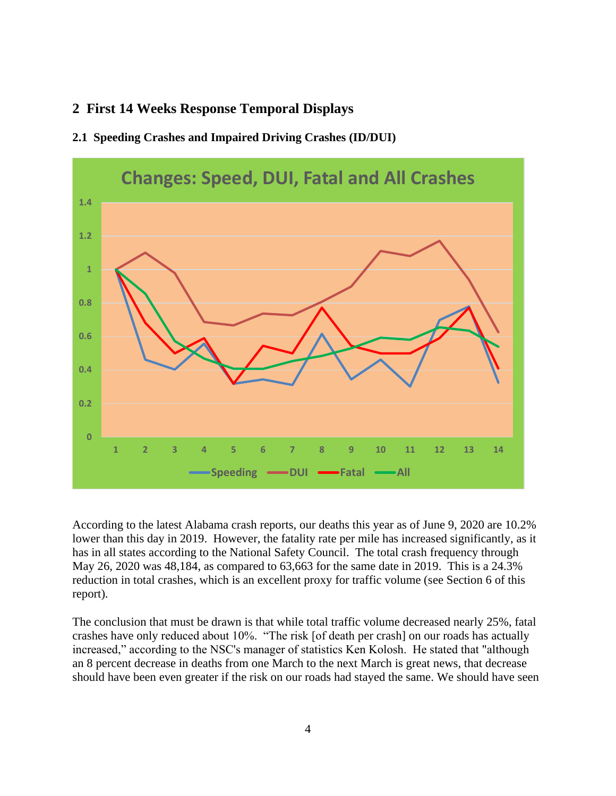# <span id="page-4-0"></span>**2 First 14 Weeks Response Temporal Displays**



### <span id="page-4-1"></span>**2.1 Speeding Crashes and Impaired Driving Crashes (ID/DUI)**

According to the latest Alabama crash reports, our deaths this year as of June 9, 2020 are 10.2% lower than this day in 2019. However, the fatality rate per mile has increased significantly, as it has in all states according to the National Safety Council. The total crash frequency through May 26, 2020 was 48,184, as compared to 63,663 for the same date in 2019. This is a 24.3% reduction in total crashes, which is an excellent proxy for traffic volume (see Section 6 of this report).

The conclusion that must be drawn is that while total traffic volume decreased nearly 25%, fatal crashes have only reduced about 10%. "The risk [of death per crash] on our roads has actually increased," according to the NSC's manager of statistics Ken Kolosh. He stated that "although an 8 percent decrease in deaths from one March to the next March is great news, that decrease should have been even greater if the risk on our roads had stayed the same. We should have seen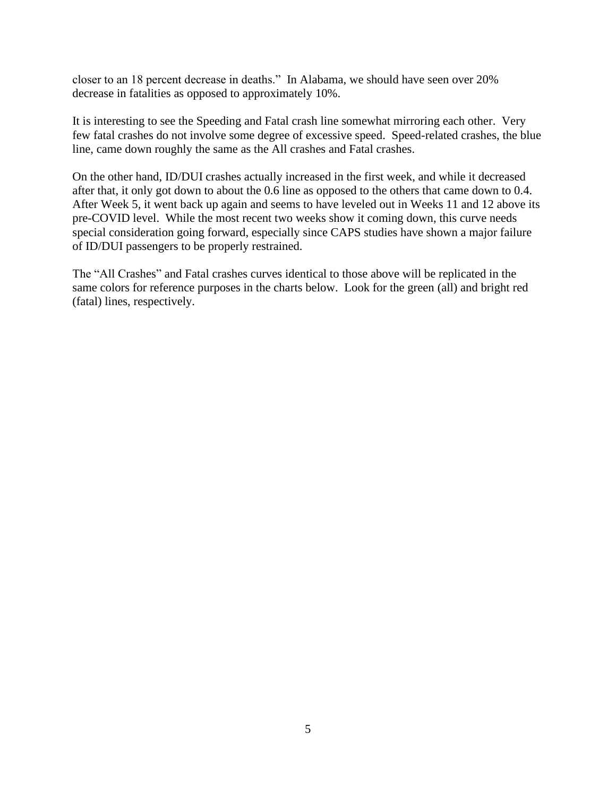closer to an 18 percent decrease in deaths." In Alabama, we should have seen over 20% decrease in fatalities as opposed to approximately 10%.

It is interesting to see the Speeding and Fatal crash line somewhat mirroring each other. Very few fatal crashes do not involve some degree of excessive speed. Speed-related crashes, the blue line, came down roughly the same as the All crashes and Fatal crashes.

On the other hand, ID/DUI crashes actually increased in the first week, and while it decreased after that, it only got down to about the 0.6 line as opposed to the others that came down to 0.4. After Week 5, it went back up again and seems to have leveled out in Weeks 11 and 12 above its pre-COVID level. While the most recent two weeks show it coming down, this curve needs special consideration going forward, especially since CAPS studies have shown a major failure of ID/DUI passengers to be properly restrained.

The "All Crashes" and Fatal crashes curves identical to those above will be replicated in the same colors for reference purposes in the charts below. Look for the green (all) and bright red (fatal) lines, respectively.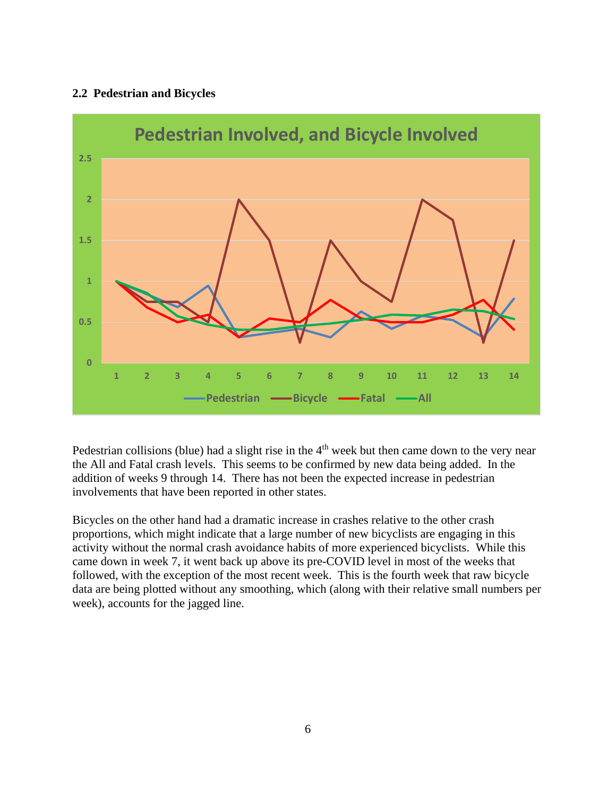### <span id="page-6-0"></span>**2.2 Pedestrian and Bicycles**



Pedestrian collisions (blue) had a slight rise in the  $4<sup>th</sup>$  week but then came down to the very near the All and Fatal crash levels. This seems to be confirmed by new data being added. In the addition of weeks 9 through 14. There has not been the expected increase in pedestrian involvements that have been reported in other states.

Bicycles on the other hand had a dramatic increase in crashes relative to the other crash proportions, which might indicate that a large number of new bicyclists are engaging in this activity without the normal crash avoidance habits of more experienced bicyclists. While this came down in week 7, it went back up above its pre-COVID level in most of the weeks that followed, with the exception of the most recent week. This is the fourth week that raw bicycle data are being plotted without any smoothing, which (along with their relative small numbers per week), accounts for the jagged line.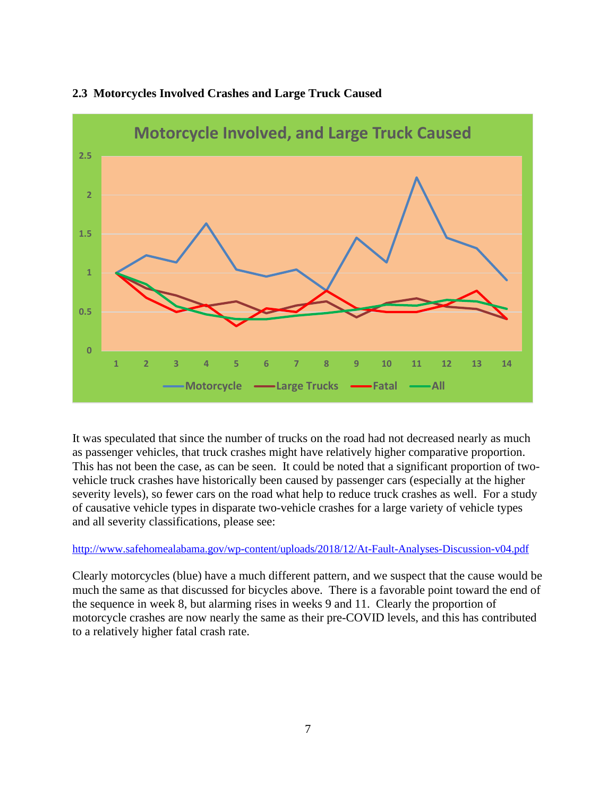

### <span id="page-7-0"></span>**2.3 Motorcycles Involved Crashes and Large Truck Caused**

It was speculated that since the number of trucks on the road had not decreased nearly as much as passenger vehicles, that truck crashes might have relatively higher comparative proportion. This has not been the case, as can be seen. It could be noted that a significant proportion of twovehicle truck crashes have historically been caused by passenger cars (especially at the higher severity levels), so fewer cars on the road what help to reduce truck crashes as well. For a study of causative vehicle types in disparate two-vehicle crashes for a large variety of vehicle types and all severity classifications, please see:

#### <http://www.safehomealabama.gov/wp-content/uploads/2018/12/At-Fault-Analyses-Discussion-v04.pdf>

Clearly motorcycles (blue) have a much different pattern, and we suspect that the cause would be much the same as that discussed for bicycles above. There is a favorable point toward the end of the sequence in week 8, but alarming rises in weeks 9 and 11. Clearly the proportion of motorcycle crashes are now nearly the same as their pre-COVID levels, and this has contributed to a relatively higher fatal crash rate.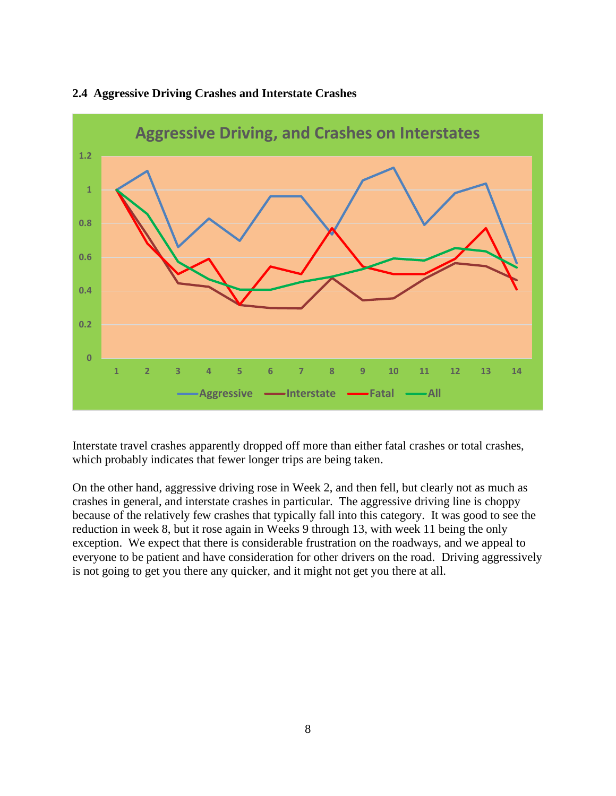

#### <span id="page-8-0"></span>**2.4 Aggressive Driving Crashes and Interstate Crashes**

Interstate travel crashes apparently dropped off more than either fatal crashes or total crashes, which probably indicates that fewer longer trips are being taken.

On the other hand, aggressive driving rose in Week 2, and then fell, but clearly not as much as crashes in general, and interstate crashes in particular. The aggressive driving line is choppy because of the relatively few crashes that typically fall into this category. It was good to see the reduction in week 8, but it rose again in Weeks 9 through 13, with week 11 being the only exception. We expect that there is considerable frustration on the roadways, and we appeal to everyone to be patient and have consideration for other drivers on the road. Driving aggressively is not going to get you there any quicker, and it might not get you there at all.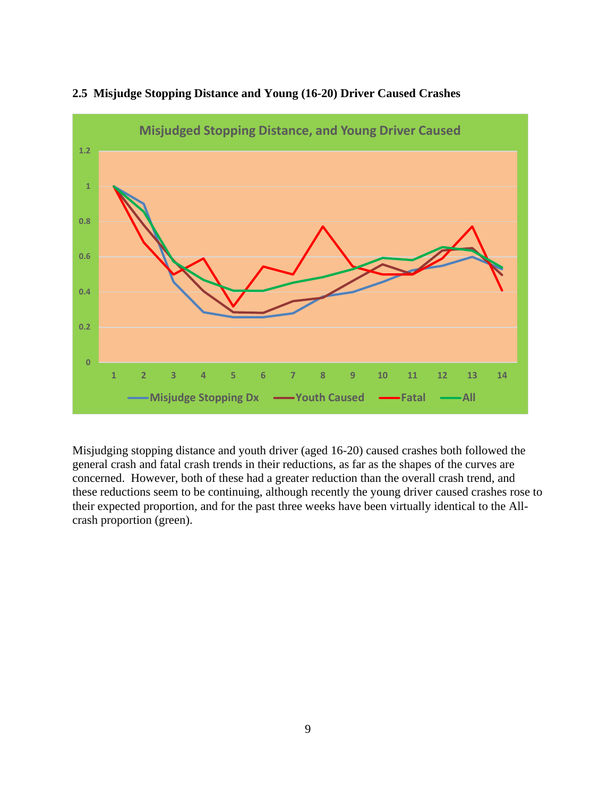

#### <span id="page-9-0"></span>**2.5 Misjudge Stopping Distance and Young (16-20) Driver Caused Crashes**

Misjudging stopping distance and youth driver (aged 16-20) caused crashes both followed the general crash and fatal crash trends in their reductions, as far as the shapes of the curves are concerned. However, both of these had a greater reduction than the overall crash trend, and these reductions seem to be continuing, although recently the young driver caused crashes rose to their expected proportion, and for the past three weeks have been virtually identical to the Allcrash proportion (green).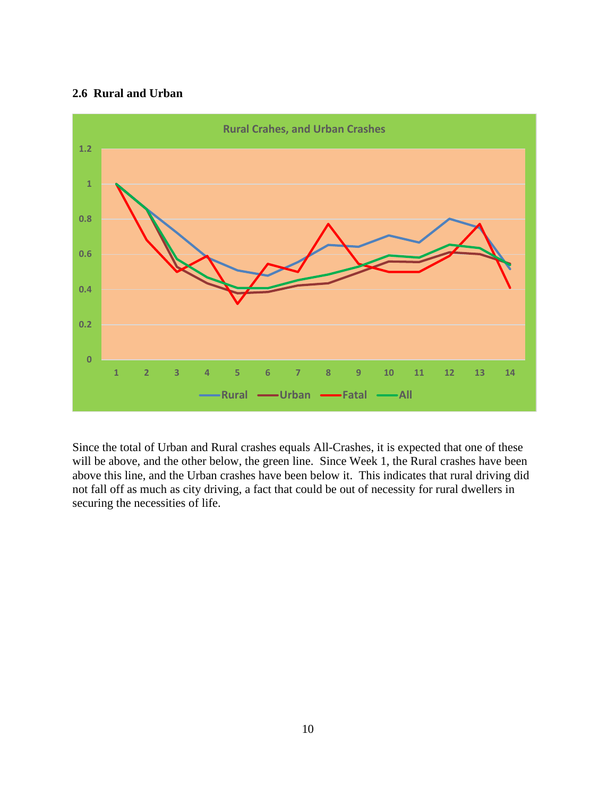#### <span id="page-10-0"></span>**2.6 Rural and Urban**



Since the total of Urban and Rural crashes equals All-Crashes, it is expected that one of these will be above, and the other below, the green line. Since Week 1, the Rural crashes have been above this line, and the Urban crashes have been below it. This indicates that rural driving did not fall off as much as city driving, a fact that could be out of necessity for rural dwellers in securing the necessities of life.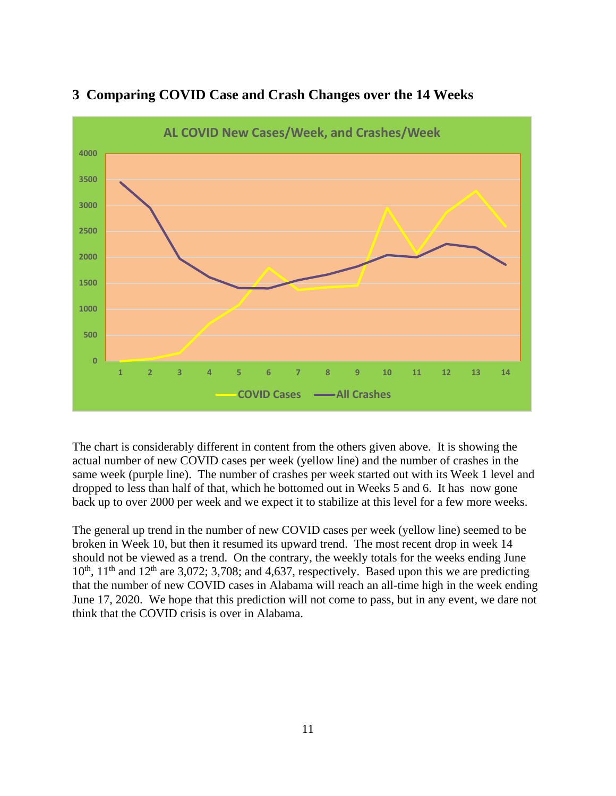

# <span id="page-11-0"></span>**3 Comparing COVID Case and Crash Changes over the 14 Weeks**

The chart is considerably different in content from the others given above. It is showing the actual number of new COVID cases per week (yellow line) and the number of crashes in the same week (purple line). The number of crashes per week started out with its Week 1 level and dropped to less than half of that, which he bottomed out in Weeks 5 and 6. It has now gone back up to over 2000 per week and we expect it to stabilize at this level for a few more weeks.

The general up trend in the number of new COVID cases per week (yellow line) seemed to be broken in Week 10, but then it resumed its upward trend. The most recent drop in week 14 should not be viewed as a trend. On the contrary, the weekly totals for the weeks ending June  $10^{th}$ ,  $11^{th}$  and  $12^{th}$  are 3,072; 3,708; and 4,637, respectively. Based upon this we are predicting that the number of new COVID cases in Alabama will reach an all-time high in the week ending June 17, 2020. We hope that this prediction will not come to pass, but in any event, we dare not think that the COVID crisis is over in Alabama.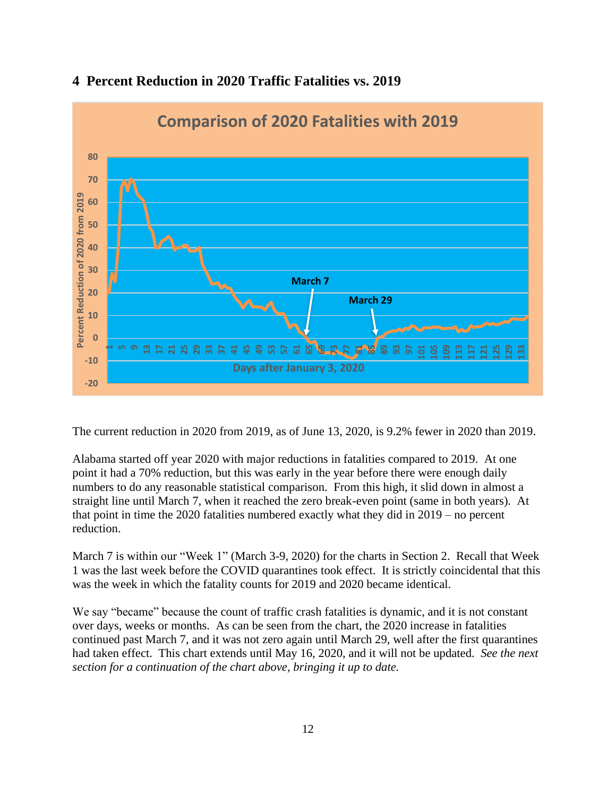

# <span id="page-12-0"></span>**4 Percent Reduction in 2020 Traffic Fatalities vs. 2019**

The current reduction in 2020 from 2019, as of June 13, 2020, is 9.2% fewer in 2020 than 2019.

Alabama started off year 2020 with major reductions in fatalities compared to 2019. At one point it had a 70% reduction, but this was early in the year before there were enough daily numbers to do any reasonable statistical comparison. From this high, it slid down in almost a straight line until March 7, when it reached the zero break-even point (same in both years). At that point in time the 2020 fatalities numbered exactly what they did in 2019 – no percent reduction.

March 7 is within our "Week 1" (March 3-9, 2020) for the charts in Section 2. Recall that Week 1 was the last week before the COVID quarantines took effect. It is strictly coincidental that this was the week in which the fatality counts for 2019 and 2020 became identical.

We say "became" because the count of traffic crash fatalities is dynamic, and it is not constant over days, weeks or months. As can be seen from the chart, the 2020 increase in fatalities continued past March 7, and it was not zero again until March 29, well after the first quarantines had taken effect. This chart extends until May 16, 2020, and it will not be updated. *See the next section for a continuation of the chart above, bringing it up to date.*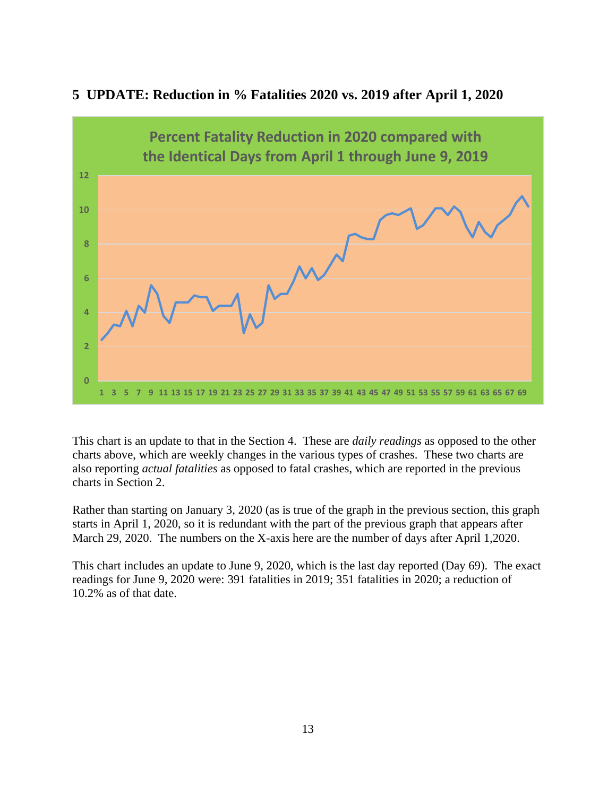

### <span id="page-13-0"></span>**5 UPDATE: Reduction in % Fatalities 2020 vs. 2019 after April 1, 2020**

This chart is an update to that in the Section 4. These are *daily readings* as opposed to the other charts above, which are weekly changes in the various types of crashes. These two charts are also reporting *actual fatalities* as opposed to fatal crashes, which are reported in the previous charts in Section 2.

Rather than starting on January 3, 2020 (as is true of the graph in the previous section, this graph starts in April 1, 2020, so it is redundant with the part of the previous graph that appears after March 29, 2020. The numbers on the X-axis here are the number of days after April 1,2020.

This chart includes an update to June 9, 2020, which is the last day reported (Day 69). The exact readings for June 9, 2020 were: 391 fatalities in 2019; 351 fatalities in 2020; a reduction of 10.2% as of that date.